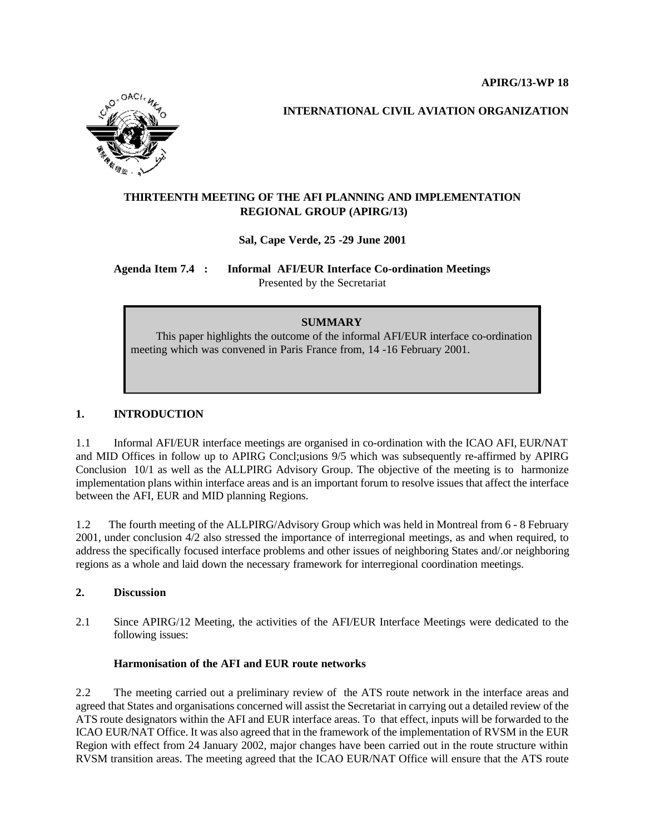

 **INTERNATIONAL CIVIL AVIATION ORGANIZATION**

# **THIRTEENTH MEETING OF THE AFI PLANNING AND IMPLEMENTATION REGIONAL GROUP (APIRG/13)**

**Sal, Cape Verde, 25 -29 June 2001**

**Agenda Item 7.4 : Informal AFI/EUR Interface Co-ordination Meetings** Presented by the Secretariat

## **SUMMARY**

 This paper highlights the outcome of the informal AFI/EUR interface co-ordination meeting which was convened in Paris France from, 14 -16 February 2001.

# **1. INTRODUCTION**

1.1 Informal AFI/EUR interface meetings are organised in co-ordination with the ICAO AFI, EUR/NAT and MID Offices in follow up to APIRG Concl;usions 9/5 which was subsequently re-affirmed by APIRG Conclusion 10/1 as well as the ALLPIRG Advisory Group. The objective of the meeting is to harmonize implementation plans within interface areas and is an important forum to resolve issues that affect the interface between the AFI, EUR and MID planning Regions.

1.2 The fourth meeting of the ALLPIRG/Advisory Group which was held in Montreal from 6 - 8 February 2001, under conclusion 4/2 also stressed the importance of interregional meetings, as and when required, to address the specifically focused interface problems and other issues of neighboring States and/.or neighboring regions as a whole and laid down the necessary framework for interregional coordination meetings.

#### **2. Discussion**

2.1 Since APIRG/12 Meeting, the activities of the AFI/EUR Interface Meetings were dedicated to the following issues:

#### **Harmonisation of the AFI and EUR route networks**

2.2 The meeting carried out a preliminary review of the ATS route network in the interface areas and agreed that States and organisations concerned will assist the Secretariat in carrying out a detailed review of the ATS route designators within the AFI and EUR interface areas. To that effect, inputs will be forwarded to the ICAO EUR/NAT Office. It was also agreed that in the framework of the implementation of RVSM in the EUR Region with effect from 24 January 2002, major changes have been carried out in the route structure within RVSM transition areas. The meeting agreed that the ICAO EUR/NAT Office will ensure that the ATS route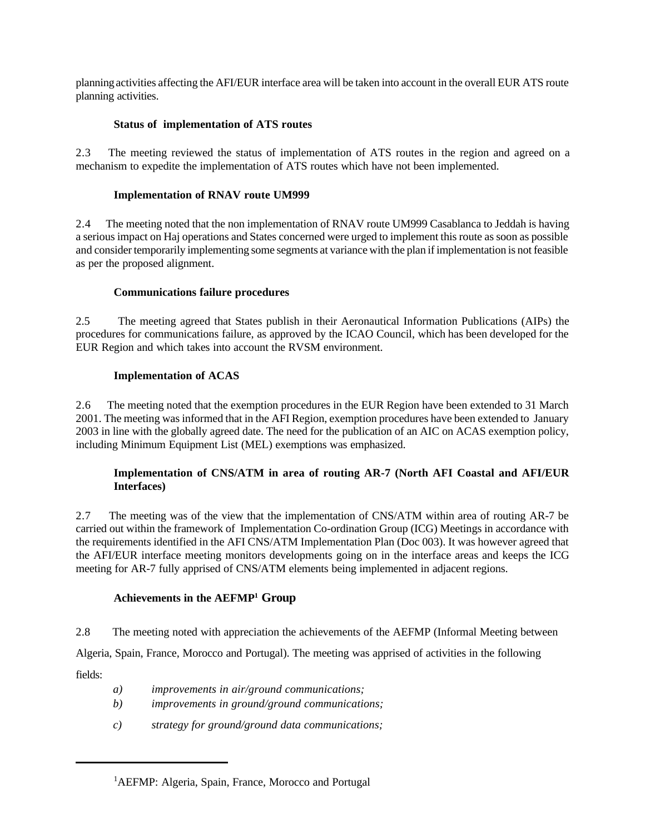planning activities affecting the AFI/EUR interface area will be taken into account in the overall EUR ATS route planning activities.

### **Status of implementation of ATS routes**

2.3 The meeting reviewed the status of implementation of ATS routes in the region and agreed on a mechanism to expedite the implementation of ATS routes which have not been implemented.

#### **Implementation of RNAV route UM999**

2.4 The meeting noted that the non implementation of RNAV route UM999 Casablanca to Jeddah is having a serious impact on Haj operations and States concerned were urged to implement this route as soon as possible and consider temporarily implementing some segments at variance with the plan if implementation is not feasible as per the proposed alignment.

### **Communications failure procedures**

2.5 The meeting agreed that States publish in their Aeronautical Information Publications (AIPs) the procedures for communications failure, as approved by the ICAO Council, which has been developed for the EUR Region and which takes into account the RVSM environment.

### **Implementation of ACAS**

2.6 The meeting noted that the exemption procedures in the EUR Region have been extended to 31 March 2001. The meeting was informed that in the AFI Region, exemption procedures have been extended to January 2003 in line with the globally agreed date. The need for the publication of an AIC on ACAS exemption policy, including Minimum Equipment List (MEL) exemptions was emphasized.

## **Implementation of CNS/ATM in area of routing AR-7 (North AFI Coastal and AFI/EUR Interfaces)**

2.7 The meeting was of the view that the implementation of CNS/ATM within area of routing AR-7 be carried out within the framework of Implementation Co-ordination Group (ICG) Meetings in accordance with the requirements identified in the AFI CNS/ATM Implementation Plan (Doc 003). It was however agreed that the AFI/EUR interface meeting monitors developments going on in the interface areas and keeps the ICG meeting for AR-7 fully apprised of CNS/ATM elements being implemented in adjacent regions.

### **Achievements in the AEFMP<sup>1</sup> Group**

2.8 The meeting noted with appreciation the achievements of the AEFMP (Informal Meeting between

Algeria, Spain, France, Morocco and Portugal). The meeting was apprised of activities in the following

fields:

- *a) improvements in air/ground communications;*
- *b) improvements in ground/ground communications;*
- *c) strategy for ground/ground data communications;*

<sup>&</sup>lt;sup>1</sup>AEFMP: Algeria, Spain, France, Morocco and Portugal